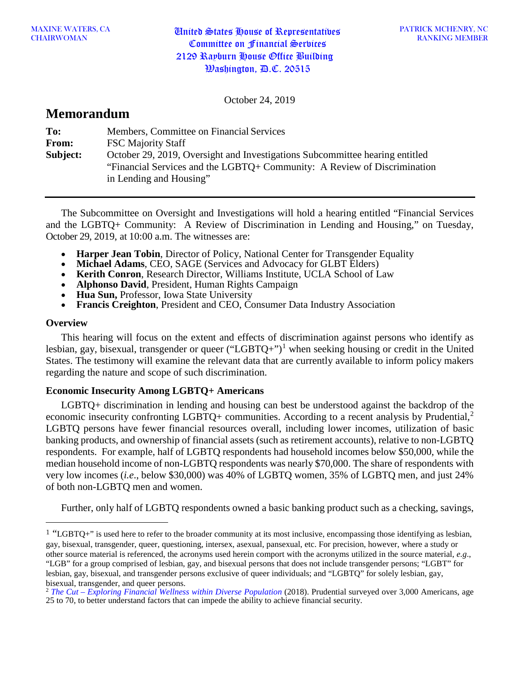October 24, 2019

# **Memorandum**

| To:      | Members, Committee on Financial Services                                     |
|----------|------------------------------------------------------------------------------|
| From:    | <b>FSC Majority Staff</b>                                                    |
| Subject: | October 29, 2019, Oversight and Investigations Subcommittee hearing entitled |
|          | "Financial Services and the LGBTQ+ Community: A Review of Discrimination     |
|          | in Lending and Housing"                                                      |

The Subcommittee on Oversight and Investigations will hold a hearing entitled "Financial Services and the LGBTQ+ Community: A Review of Discrimination in Lending and Housing," on Tuesday, October 29, 2019, at 10:00 a.m. The witnesses are:

- **Harper Jean Tobin, Director of Policy, National Center for Transgender Equality**
- **Michael Adams**, CEO, SAGE (Services and Advocacy for GLBT Elders)
- **Kerith Conron**, Research Director, Williams Institute, UCLA School of Law
- **Alphonso David**, President, Human Rights Campaign
- **Hua Sun,** Professor, Iowa State University
- **Francis Creighton**, President and CEO, Consumer Data Industry Association

# **Overview**

 $\overline{a}$ 

This hearing will focus on the extent and effects of discrimination against persons who identify as lesbian, gay, bisexual, transgender or queer ("LGBTQ+")<sup>[1](#page-0-0)</sup> when seeking housing or credit in the United States. The testimony will examine the relevant data that are currently available to inform policy makers regarding the nature and scope of such discrimination.

# **Economic Insecurity Among LGBTQ+ Americans**

LGBTQ+ discrimination in lending and housing can best be understood against the backdrop of the economic insecurity confronting LGBTQ+ communities. According to a recent analysis by Prudential,<sup>[2](#page-0-1)</sup> LGBTQ persons have fewer financial resources overall, including lower incomes, utilization of basic banking products, and ownership of financial assets (such as retirement accounts), relative to non-LGBTQ respondents. For example, half of LGBTQ respondents had household incomes below \$50,000, while the median household income of non-LGBTQ respondents was nearly \$70,000. The share of respondents with very low incomes (*i.e*., below \$30,000) was 40% of LGBTQ women, 35% of LGBTQ men, and just 24% of both non-LGBTQ men and women.

Further, only half of LGBTQ respondents owned a basic banking product such as a checking, savings,

<span id="page-0-0"></span> $1$  "LGBTQ+" is used here to refer to the broader community at its most inclusive, encompassing those identifying as lesbian, gay, bisexual, transgender, queer, questioning, intersex, asexual, pansexual, etc. For precision, however, where a study or other source material is referenced, the acronyms used herein comport with the acronyms utilized in the source material, *e.g*., "LGB" for a group comprised of lesbian, gay, and bisexual persons that does not include transgender persons; "LGBT" for lesbian, gay, bisexual, and transgender persons exclusive of queer individuals; and "LGBTQ" for solely lesbian, gay, bisexual, transgender, and queer persons.

<span id="page-0-1"></span><sup>2</sup> *The Cut – [Exploring Financial Wellness within Diverse Population](http://news.prudential.com/content/1209/files/PrudentialTheCutExploringFinancialWellnessWithinDiversePopulations.pdf?utm_source=newsroom&utm_medium=landingpage&utm_campaign=thecut)* (2018). Prudential surveyed over 3,000 Americans, age 25 to 70, to better understand factors that can impede the ability to achieve financial security.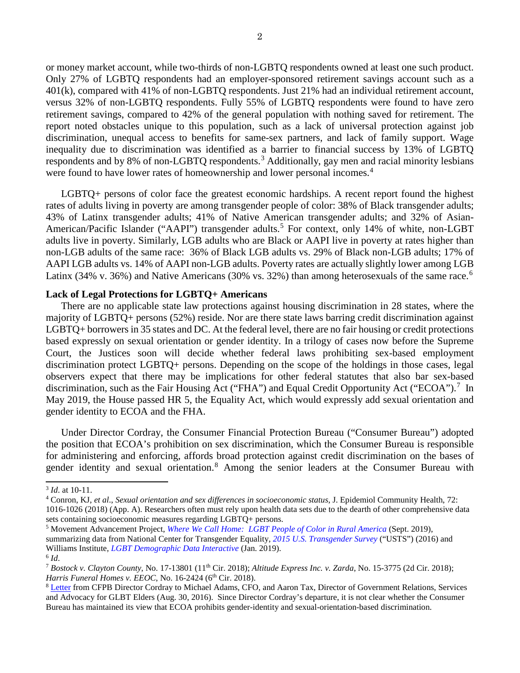or money market account, while two-thirds of non-LGBTQ respondents owned at least one such product. Only 27% of LGBTQ respondents had an employer-sponsored retirement savings account such as a 401(k), compared with 41% of non-LGBTQ respondents. Just 21% had an individual retirement account, versus 32% of non-LGBTQ respondents. Fully 55% of LGBTQ respondents were found to have zero retirement savings, compared to 42% of the general population with nothing saved for retirement. The report noted obstacles unique to this population, such as a lack of universal protection against job discrimination, unequal access to benefits for same-sex partners, and lack of family support. Wage inequality due to discrimination was identified as a barrier to financial success by 13% of LGBTQ respondents and by 8% of non-LGBTQ respondents.[3](#page-1-0) Additionally, gay men and racial minority lesbians were found to have lower rates of homeownership and lower personal incomes.<sup>[4](#page-1-1)</sup>

LGBTQ+ persons of color face the greatest economic hardships. A recent report found the highest rates of adults living in poverty are among transgender people of color: 38% of Black transgender adults; 43% of Latinx transgender adults; 41% of Native American transgender adults; and 32% of Asian-American/Pacific Islander ("AAPI") transgender adults.<sup>[5](#page-1-2)</sup> For context, only 14% of white, non-LGBT adults live in poverty. Similarly, LGB adults who are Black or AAPI live in poverty at rates higher than non-LGB adults of the same race: 36% of Black LGB adults vs. 29% of Black non-LGB adults; 17% of AAPI LGB adults vs. 14% of AAPI non-LGB adults. Poverty rates are actually slightly lower among LGB Latinx (34% v. 3[6](#page-1-3)%) and Native Americans (30% vs. 32%) than among heterosexuals of the same race.<sup>6</sup>

## **Lack of Legal Protections for LGBTQ+ Americans**

There are no applicable state law protections against housing discrimination in 28 states, where the majority of LGBTQ+ persons (52%) reside. Nor are there state laws barring credit discrimination against LGBTQ+ borrowers in 35 states and DC. At the federal level, there are no fair housing or credit protections based expressly on sexual orientation or gender identity. In a trilogy of cases now before the Supreme Court, the Justices soon will decide whether federal laws prohibiting sex-based employment discrimination protect LGBTQ+ persons. Depending on the scope of the holdings in those cases, legal observers expect that there may be implications for other federal statutes that also bar sex-based discrimination, such as the Fair Housing Act ("FHA") and Equal Credit Opportunity Act ("ECOA").<sup>[7](#page-1-4)</sup> In May 2019, the House passed HR 5, the Equality Act, which would expressly add sexual orientation and gender identity to ECOA and the FHA.

Under Director Cordray, the Consumer Financial Protection Bureau ("Consumer Bureau") adopted the position that ECOA's prohibition on sex discrimination, which the Consumer Bureau is responsible for administering and enforcing, affords broad protection against credit discrimination on the bases of gender identity and sexual orientation.[8](#page-1-5) Among the senior leaders at the Consumer Bureau with

<span id="page-1-1"></span><sup>4</sup> Conron, KJ, *et al*., *Sexual orientation and sex differences in socioeconomic status*, J. Epidemiol Community Health, 72: 1016-1026 (2018) (App. A). Researchers often must rely upon health data sets due to the dearth of other comprehensive data

sets containing socioeconomic measures regarding LGBTQ+ persons.

<span id="page-1-2"></span><sup>5</sup> Movement Advancement Project, *[Where We Call Home: LGBT People of Color in Rural America](http://www.lgbtmap.org/file/lgbt-rural-poc-report.pdf)* (Sept. 2019), summarizing data from National Center for Transgender Equality, *[2015 U.S. Transgender Survey](https://www.transequality.org/sites/default/files/docs/USTS-Full-Report-FINAL.PDF)* ("USTS") (2016) and Williams Institute, *[LGBT Demographic Data Interactive](https://williamsinstitute.law.ucla.edu/visualization/lgbt-stats/?topic=LGBT#density)* (Jan. 2019).  $6$  *Id.* 

<span id="page-1-0"></span><sup>3</sup> *Id*. at 10-11.

<span id="page-1-4"></span><span id="page-1-3"></span><sup>7</sup> *Bostock v. Clayton County*, No. 17-13801 (11th Cir. 2018); *Altitude Express Inc. v. Zarda*, No. 15-3775 (2d Cir. 2018); *Harris Funeral Homes v. EEOC*, No. 16-2424 (6<sup>th</sup> Cir. 2018).

<span id="page-1-5"></span><sup>&</sup>lt;sup>8</sup> [Letter](https://www.cfpbmonitor.com/wp-content/uploads/sites/5/2016/09/SAGE-Letter.pdf) from CFPB Director Cordray to Michael Adams, CFO, and Aaron Tax, Director of Government Relations, Services and Advocacy for GLBT Elders (Aug. 30, 2016). Since Director Cordray's departure, it is not clear whether the Consumer Bureau has maintained its view that ECOA prohibits gender-identity and sexual-orientation-based discrimination.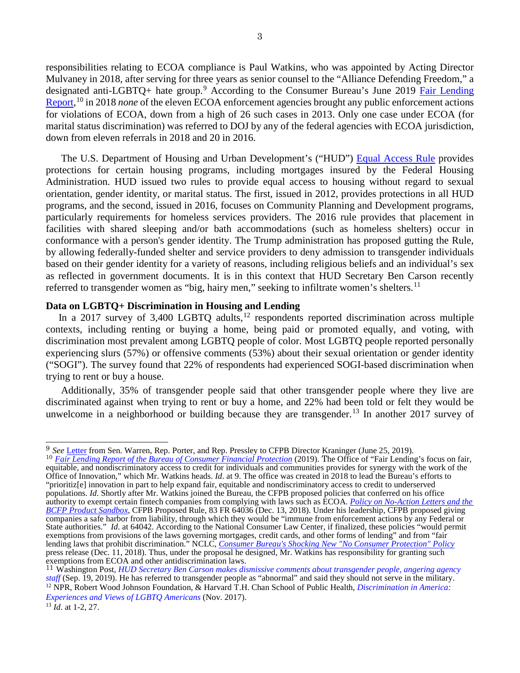responsibilities relating to ECOA compliance is Paul Watkins, who was appointed by Acting Director Mulvaney in 2018, after serving for three years as senior counsel to the "Alliance Defending Freedom," a designated anti-LGBTQ+ hate group.<sup>[9](#page-2-0)</sup> According to the Consumer Bureau's June 2019 Fair Lending [Report,](https://files.consumerfinance.gov/f/documents/201906_cfpb_Fair_Lending_Report.pdf)<sup>[10](#page-2-1)</sup> in 2018 *none* of the eleven ECOA enforcement agencies brought any public enforcement actions for violations of ECOA, down from a high of 26 such cases in 2013. Only one case under ECOA (for marital status discrimination) was referred to DOJ by any of the federal agencies with ECOA jurisdiction, down from eleven referrals in 2018 and 20 in 2016.

The U.S. Department of Housing and Urban Development's ("HUD") [Equal Access Rule](https://www.federalregister.gov/documents/2012/02/03/2012-2343/equal-access-to-housing-in-hud-programs-regardless-of-sexual-orientation-or-gender-identity) provides protections for certain housing programs, including mortgages insured by the Federal Housing Administration. HUD issued two rules to provide equal access to housing without regard to sexual orientation, gender identity, or marital status. The first, issued in 2012, provides protections in all HUD programs, and the second, issued in 2016, focuses on Community Planning and Development programs, particularly requirements for homeless services providers. The 2016 rule provides that placement in facilities with shared sleeping and/or bath accommodations (such as homeless shelters) occur in conformance with a person's gender identity. The Trump administration has proposed gutting the Rule, by allowing federally-funded shelter and service providers to deny admission to transgender individuals based on their gender identity for a variety of reasons, including religious beliefs and an individual's sex as reflected in government documents. It is in this context that HUD Secretary Ben Carson recently referred to transgender women as "big, hairy men," seeking to infiltrate women's shelters.<sup>[11](#page-2-2)</sup>

# **Data on LGBTQ+ Discrimination in Housing and Lending**

In a 2017 survey of 3,400 LGBTQ adults,<sup>[12](#page-2-3)</sup> respondents reported discrimination across multiple contexts, including renting or buying a home, being paid or promoted equally, and voting, with discrimination most prevalent among LGBTQ people of color. Most LGBTQ people reported personally experiencing slurs (57%) or offensive comments (53%) about their sexual orientation or gender identity ("SOGI"). The survey found that 22% of respondents had experienced SOGI-based discrimination when trying to rent or buy a house.

Additionally, 35% of transgender people said that other transgender people where they live are discriminated against when trying to rent or buy a home, and 22% had been told or felt they would be unwelcome in a neighborhood or building because they are transgender.<sup>[13](#page-2-4)</sup> In another 2017 survey of

<span id="page-2-1"></span><sup>10</sup> *[Fair Lending Report of the Bureau of Consumer Financial Protection](https://files.consumerfinance.gov/f/documents/201906_cfpb_Fair_Lending_Report.pdf)* (2019). The Office of "Fair Lending's focus on fair, equitable, and nondiscriminatory access to credit for individuals and communities provides for synergy with the work of the Office of Innovation," which Mr. Watkins heads. *Id*. at 9. The office was created in 2018 to lead the Bureau's efforts to "prioritiz[e] innovation in part to help expand fair, equitable and nondiscriminatory access to credit to underserved populations. *Id.* Shortly after Mr. Watkins joined the Bureau, the CFPB proposed policies that conferred on his office authority to exempt certain fintech companies from complying with laws such as ECOA. *[Policy on No-Action Letters and the](https://www.federalregister.gov/documents/2018/12/13/2018-26873/policy-on-no-action-letters-and-the-bcfp-product-sandbox)  [BCFP Product Sandbox](https://www.federalregister.gov/documents/2018/12/13/2018-26873/policy-on-no-action-letters-and-the-bcfp-product-sandbox)*, CFPB Proposed Rule, 83 FR 64036 (Dec. 13, 2018). Under his leadership, CFPB proposed giving companies a safe harbor from liability, through which they would be "immune from enforcement actions by any Federal or State authorities." *Id.* at 64042. According to the National Consumer Law Center, if finalized, these policies "would permit exemptions from provisions of the laws governing mortgages, credit cards, and other forms of lending" and from "fair lending laws that prohibit discrimination." NCLC, *[Consumer Bureau's Shocking New "No Consumer Protection" Policy](https://www.nclc.org/media-center/pr-consumer-bureau-s-shocking-new-no-consumer-protection-policy.html)* press release (Dec. 11, 2018). Thus, under the proposal he designed, Mr. Watkins has responsibility for granting such exemptions from ECOA and other antidiscrimination laws.

<span id="page-2-0"></span> <sup>9</sup> *See* [Letter](https://www.warren.senate.gov/imo/media/doc/2019.06.25%20Letter%20to%20CFPB%20re%20Paul%20Watkins.pdf) from Sen. Warren, Rep. Porter, and Rep. Pressley to CFPB Director Kraninger (June 25, 2019).

<span id="page-2-3"></span><span id="page-2-2"></span><sup>11</sup> Washington Post*, [HUD Secretary Ben Carson makes dismissive comments about transgender people, angering agency](https://www.washingtonpost.com/business/2019/09/19/hud-secretary-ben-carson-makes-dismissive-comments-about-transgender-people-angering-agency-staff/) [staff](https://www.washingtonpost.com/business/2019/09/19/hud-secretary-ben-carson-makes-dismissive-comments-about-transgender-people-angering-agency-staff/)* (Sep. 19, 2019). He has referred to transgender people as "abnormal" and said they should not serve in the military. <sup>12</sup> NPR, Robert Wood Johnson Foundation, & Harvard T.H. Chan School of Public Health, *[Discrimination in America:](https://www.npr.org/documents/2017/nov/npr-discrimination-lgbtq-final.pdf)  Experiences and Views of LGBTQ Americans* [\(](https://www.npr.org/documents/2017/nov/npr-discrimination-lgbtq-final.pdf)Nov. 2017). 13 *Id*. at 1-2, 27.

<span id="page-2-4"></span>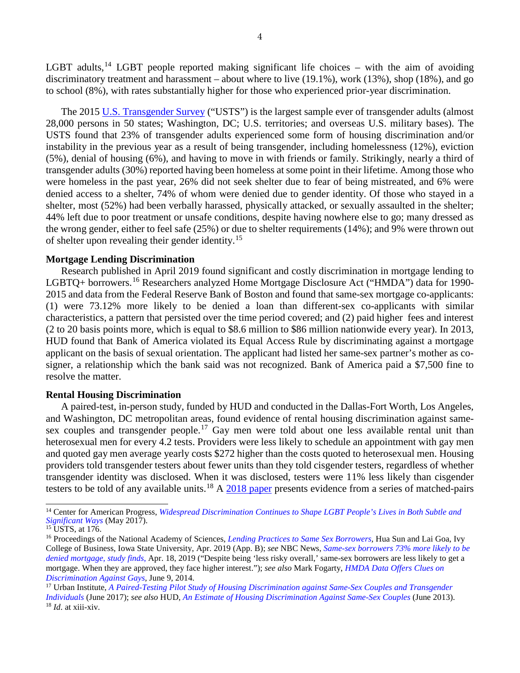LGBT adults,<sup>[14](#page-3-0)</sup> LGBT people reported making significant life choices – with the aim of avoiding discriminatory treatment and harassment – about where to live (19.1%), work (13%), shop (18%), and go to school (8%), with rates substantially higher for those who experienced prior-year discrimination.

The 2015 [U.S. Transgender Survey](https://transequality.org/sites/default/files/docs/usts/USTS-Full-Report-Dec17.pdf) ("USTS") is the largest sample ever of transgender adults (almost 28,000 persons in 50 states; Washington, DC; U.S. territories; and overseas U.S. military bases). The USTS found that 23% of transgender adults experienced some form of housing discrimination and/or instability in the previous year as a result of being transgender, including homelessness (12%), eviction (5%), denial of housing (6%), and having to move in with friends or family. Strikingly, nearly a third of transgender adults (30%) reported having been homeless at some point in their lifetime. Among those who were homeless in the past year, 26% did not seek shelter due to fear of being mistreated, and 6% were denied access to a shelter, 74% of whom were denied due to gender identity. Of those who stayed in a shelter, most (52%) had been verbally harassed, physically attacked, or sexually assaulted in the shelter; 44% left due to poor treatment or unsafe conditions, despite having nowhere else to go; many dressed as the wrong gender, either to feel safe (25%) or due to shelter requirements (14%); and 9% were thrown out of shelter upon revealing their gender identity.[15](#page-3-1)

#### **Mortgage Lending Discrimination**

Research published in April 2019 found significant and costly discrimination in mortgage lending to LGBTQ+ borrowers.<sup>[16](#page-3-2)</sup> Researchers analyzed Home Mortgage Disclosure Act ("HMDA") data for 1990-2015 and data from the Federal Reserve Bank of Boston and found that same-sex mortgage co-applicants: (1) were 73.12% more likely to be denied a loan than different-sex co-applicants with similar characteristics, a pattern that persisted over the time period covered; and (2) paid higher fees and interest (2 to 20 basis points more, which is equal to \$8.6 million to \$86 million nationwide every year). In 2013, HUD found that Bank of America violated its Equal Access Rule by discriminating against a mortgage applicant on the basis of sexual orientation. The applicant had listed her same-sex partner's mother as cosigner, a relationship which the bank said was not recognized. Bank of America paid a \$7,500 fine to resolve the matter.

#### **Rental Housing Discrimination**

A paired-test, in-person study, funded by HUD and conducted in the Dallas-Fort Worth, Los Angeles, and Washington, DC metropolitan areas, found evidence of rental housing discrimination against same-sex couples and transgender people.<sup>[17](#page-3-3)</sup> Gay men were told about one less available rental unit than heterosexual men for every 4.2 tests. Providers were less likely to schedule an appointment with gay men and quoted gay men average yearly costs \$272 higher than the costs quoted to heterosexual men. Housing providers told transgender testers about fewer units than they told cisgender testers, regardless of whether transgender identity was disclosed. When it was disclosed, testers were 11% less likely than cisgender testers to be told of any available units.<sup>[18](#page-3-4)</sup> A [2018 paper](https://digitalcommons.law.yale.edu/cgi/viewcontent.cgi?article=1379&context=yjlf) presents evidence from a series of matched-pairs

<span id="page-3-0"></span><sup>14</sup> Center for American Progress, *Widespread Discrimination Continues to [Shape LGBT People's Lives in Both Subtle and](https://www.americanprogress.org/issues/lgbt/news/2017/05/02/429529/widespreaddiscrimination-continues-shape-lgbt-peoples-lives-subtle-significant-ways/)  [Significant Ways](https://www.americanprogress.org/issues/lgbt/news/2017/05/02/429529/widespreaddiscrimination-continues-shape-lgbt-peoples-lives-subtle-significant-ways/)* (May 2017). <sup>15</sup> USTS, at 176.

<span id="page-3-2"></span><span id="page-3-1"></span><sup>16</sup> Proceedings of the National Academy of Sciences, *[Lending Practices to Same Sex Borrowers,](https://www.pnas.org/content/116/19/9293)* Hua Sun and Lai Goa, Ivy College of Business, Iowa State University, Apr. 2019 (App. B); *see* NBC News, *[Same-sex borrowers 73% more likely to be](https://www.nbcnews.com/feature/nbc-out/same-sex-borrowers-73-percent-more-likely-be-denied-mortgage-n996016)  [denied mortgage, study finds](https://www.nbcnews.com/feature/nbc-out/same-sex-borrowers-73-percent-more-likely-be-denied-mortgage-n996016)*, Apr. 18, 2019 ("Despite being 'less risky overall,' same-sex borrowers are less likely to get a mortgage. When they are approved, they face higher interest."); *see also* Mark Fogarty, *[HMDA Data Offers Clues on](https://www.americanbanker.com/news/hmda-data-offers-clues-on-discrimination-against-gays)  Discrimination Against Gays, June 9, 2014.*<br><sup>17</sup> Urban Institute, *A Paired-Testing Pilot Study of Housing Discrimination against Same-Sex Couples and Transgender* 

<span id="page-3-4"></span><span id="page-3-3"></span>*[Individuals](https://www.urban.org/sites/default/files/publication/91486/hds_lgt_final_report_3.pdf)* (June 2017); *see also* HUD, *[An Estimate of Housing Discrimination Against Same-Sex Couples](https://www.huduser.gov/portal/publications/pdf/Hsg_Disc_against_SameSexCpls_v3.pdf)* (June 2013). <sup>18</sup> *Id*. at xiii-xiv.